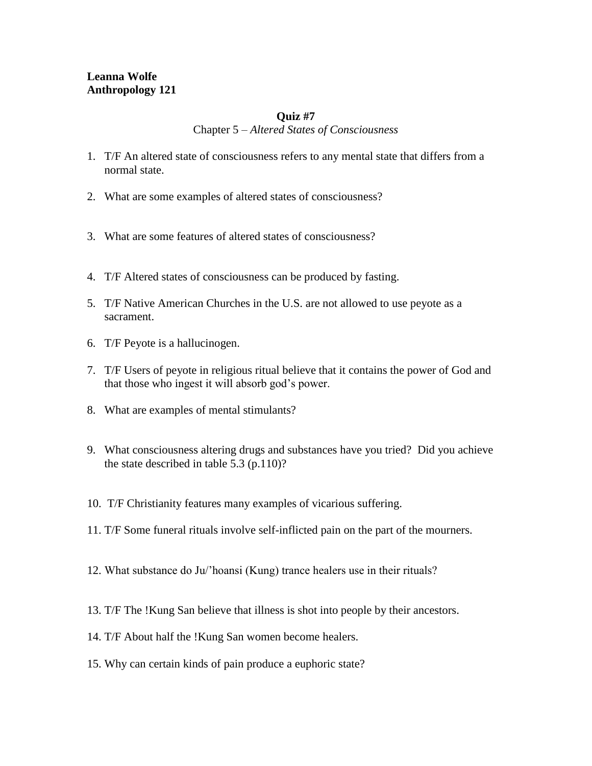# **Leanna Wolfe Anthropology 121**

### **Quiz #7**

Chapter 5 – *Altered States of Consciousness*

- 1. T/F An altered state of consciousness refers to any mental state that differs from a normal state.
- 2. What are some examples of altered states of consciousness?
- 3. What are some features of altered states of consciousness?
- 4. T/F Altered states of consciousness can be produced by fasting.
- 5. T/F Native American Churches in the U.S. are not allowed to use peyote as a sacrament.
- 6. T/F Peyote is a hallucinogen.
- 7. T/F Users of peyote in religious ritual believe that it contains the power of God and that those who ingest it will absorb god's power.
- 8. What are examples of mental stimulants?
- 9. What consciousness altering drugs and substances have you tried? Did you achieve the state described in table 5.3 (p.110)?
- 10. T/F Christianity features many examples of vicarious suffering.
- 11. T/F Some funeral rituals involve self-inflicted pain on the part of the mourners.
- 12. What substance do Ju/'hoansi (Kung) trance healers use in their rituals?
- 13. T/F The !Kung San believe that illness is shot into people by their ancestors.
- 14. T/F About half the !Kung San women become healers.
- 15. Why can certain kinds of pain produce a euphoric state?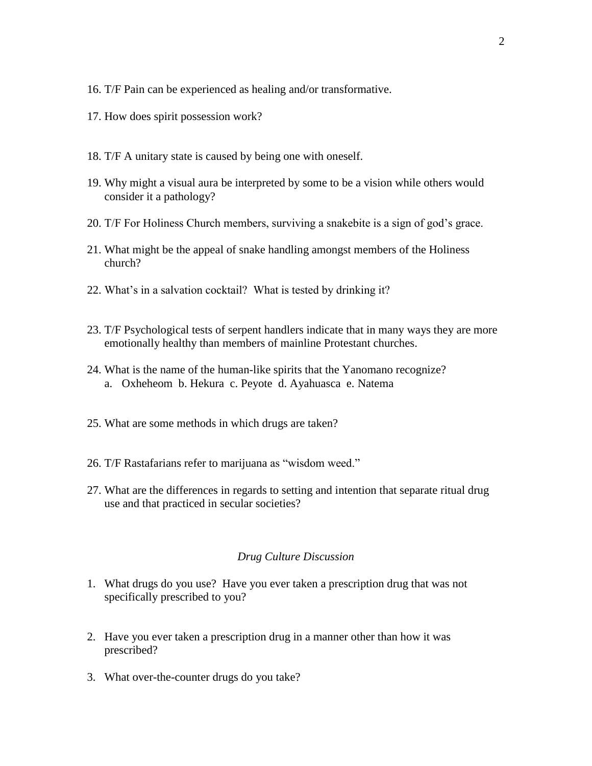- 16. T/F Pain can be experienced as healing and/or transformative.
- 17. How does spirit possession work?
- 18. T/F A unitary state is caused by being one with oneself.
- 19. Why might a visual aura be interpreted by some to be a vision while others would consider it a pathology?
- 20. T/F For Holiness Church members, surviving a snakebite is a sign of god's grace.
- 21. What might be the appeal of snake handling amongst members of the Holiness church?
- 22. What's in a salvation cocktail? What is tested by drinking it?
- 23. T/F Psychological tests of serpent handlers indicate that in many ways they are more emotionally healthy than members of mainline Protestant churches.
- 24. What is the name of the human-like spirits that the Yanomano recognize? a. Oxheheom b. Hekura c. Peyote d. Ayahuasca e. Natema
- 25. What are some methods in which drugs are taken?
- 26. T/F Rastafarians refer to marijuana as "wisdom weed."
- 27. What are the differences in regards to setting and intention that separate ritual drug use and that practiced in secular societies?

#### *Drug Culture Discussion*

- 1. What drugs do you use? Have you ever taken a prescription drug that was not specifically prescribed to you?
- 2. Have you ever taken a prescription drug in a manner other than how it was prescribed?
- 3. What over-the-counter drugs do you take?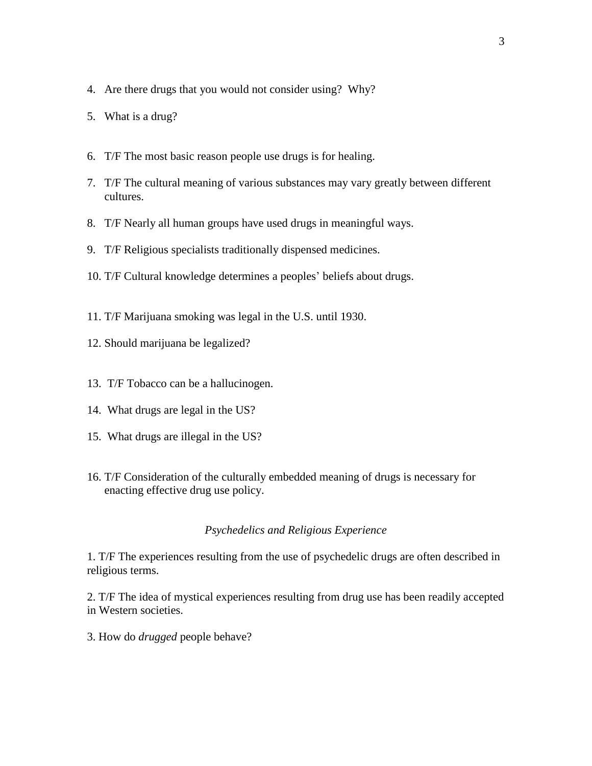- 4. Are there drugs that you would not consider using? Why?
- 5. What is a drug?
- 6. T/F The most basic reason people use drugs is for healing.
- 7. T/F The cultural meaning of various substances may vary greatly between different cultures.
- 8. T/F Nearly all human groups have used drugs in meaningful ways.
- 9. T/F Religious specialists traditionally dispensed medicines.
- 10. T/F Cultural knowledge determines a peoples' beliefs about drugs.
- 11. T/F Marijuana smoking was legal in the U.S. until 1930.
- 12. Should marijuana be legalized?
- 13. T/F Tobacco can be a hallucinogen.
- 14. What drugs are legal in the US?
- 15. What drugs are illegal in the US?
- 16. T/F Consideration of the culturally embedded meaning of drugs is necessary for enacting effective drug use policy.

### *Psychedelics and Religious Experience*

1. T/F The experiences resulting from the use of psychedelic drugs are often described in religious terms.

2. T/F The idea of mystical experiences resulting from drug use has been readily accepted in Western societies.

3. How do *drugged* people behave?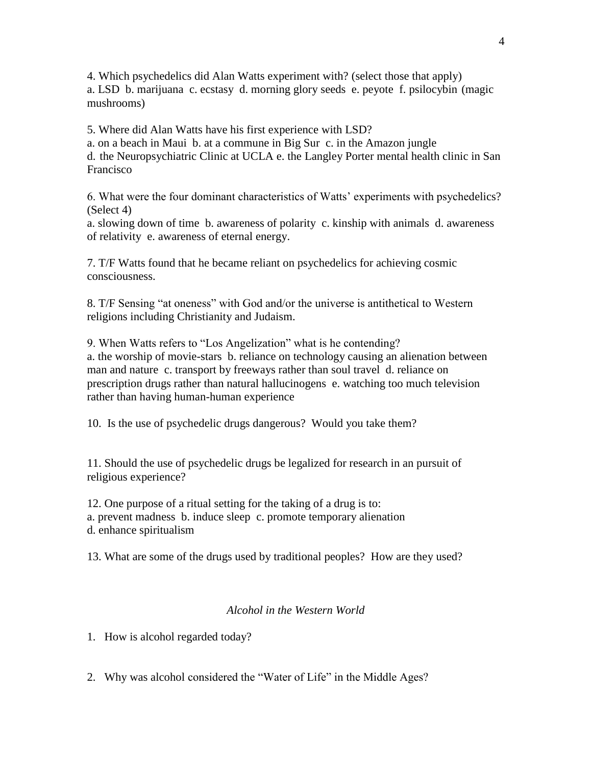4. Which psychedelics did Alan Watts experiment with? (select those that apply) a. LSD b. marijuana c. ecstasy d. morning glory seeds e. peyote f. psilocybin (magic mushrooms)

5. Where did Alan Watts have his first experience with LSD?

a. on a beach in Maui b. at a commune in Big Sur c. in the Amazon jungle d. the Neuropsychiatric Clinic at UCLA e. the Langley Porter mental health clinic in San Francisco

6. What were the four dominant characteristics of Watts' experiments with psychedelics? (Select 4)

a. slowing down of time b. awareness of polarity c. kinship with animals d. awareness of relativity e. awareness of eternal energy.

7. T/F Watts found that he became reliant on psychedelics for achieving cosmic consciousness.

8. T/F Sensing "at oneness" with God and/or the universe is antithetical to Western religions including Christianity and Judaism.

9. When Watts refers to "Los Angelization" what is he contending? a. the worship of movie-stars b. reliance on technology causing an alienation between man and nature c. transport by freeways rather than soul travel d. reliance on prescription drugs rather than natural hallucinogens e. watching too much television rather than having human-human experience

10. Is the use of psychedelic drugs dangerous? Would you take them?

11. Should the use of psychedelic drugs be legalized for research in an pursuit of religious experience?

12. One purpose of a ritual setting for the taking of a drug is to: a. prevent madness b. induce sleep c. promote temporary alienation d. enhance spiritualism

13. What are some of the drugs used by traditional peoples? How are they used?

### *Alcohol in the Western World*

1. How is alcohol regarded today?

2. Why was alcohol considered the "Water of Life" in the Middle Ages?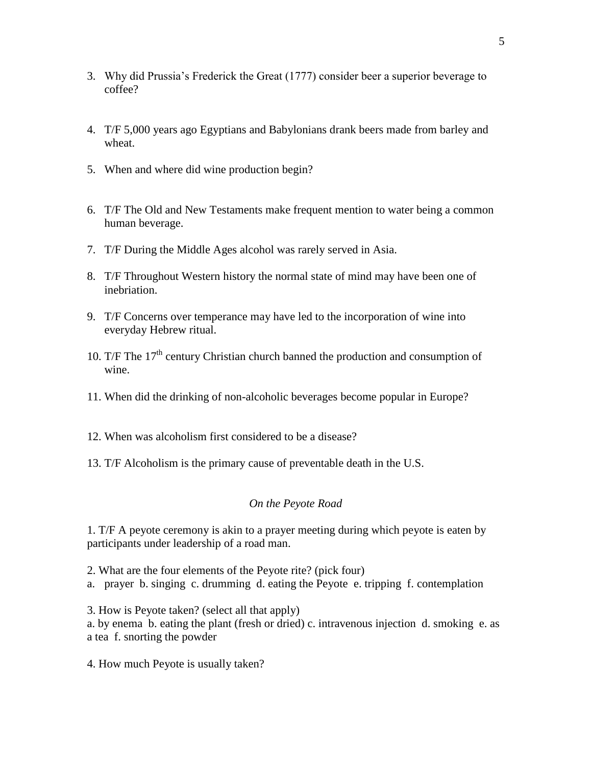- 3. Why did Prussia's Frederick the Great (1777) consider beer a superior beverage to coffee?
- 4. T/F 5,000 years ago Egyptians and Babylonians drank beers made from barley and wheat.
- 5. When and where did wine production begin?
- 6. T/F The Old and New Testaments make frequent mention to water being a common human beverage.
- 7. T/F During the Middle Ages alcohol was rarely served in Asia.
- 8. T/F Throughout Western history the normal state of mind may have been one of inebriation.
- 9. T/F Concerns over temperance may have led to the incorporation of wine into everyday Hebrew ritual.
- 10. T/F The  $17<sup>th</sup>$  century Christian church banned the production and consumption of wine.
- 11. When did the drinking of non-alcoholic beverages become popular in Europe?
- 12. When was alcoholism first considered to be a disease?
- 13. T/F Alcoholism is the primary cause of preventable death in the U.S.

### *On the Peyote Road*

1. T/F A peyote ceremony is akin to a prayer meeting during which peyote is eaten by participants under leadership of a road man.

2. What are the four elements of the Peyote rite? (pick four) a. prayer b. singing c. drumming d. eating the Peyote e. tripping f. contemplation

3. How is Peyote taken? (select all that apply) a. by enema b. eating the plant (fresh or dried) c. intravenous injection d. smoking e. as a tea f. snorting the powder

4. How much Peyote is usually taken?